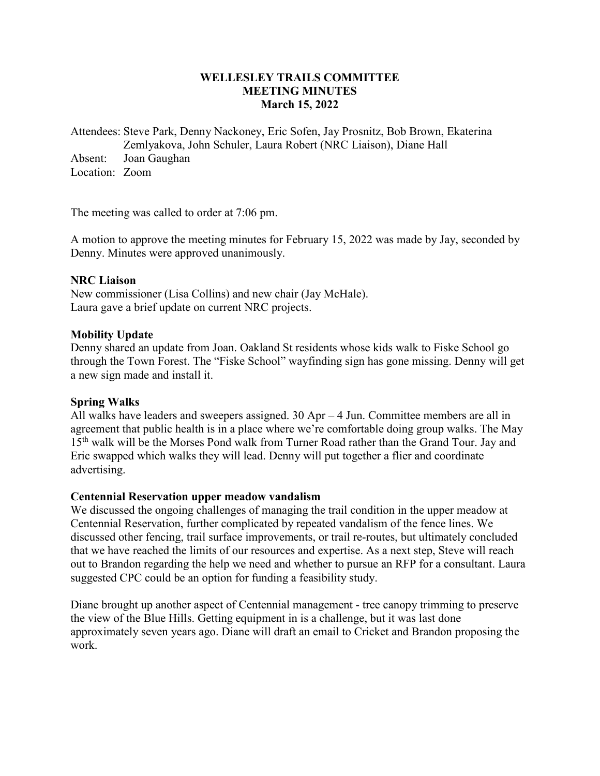# **WELLESLEY TRAILS COMMITTEE MEETING MINUTES March 15, 2022**

Attendees: Steve Park, Denny Nackoney, Eric Sofen, Jay Prosnitz, Bob Brown, Ekaterina Zemlyakova, John Schuler, Laura Robert (NRC Liaison), Diane Hall Absent: Joan Gaughan Location: Zoom

The meeting was called to order at 7:06 pm.

A motion to approve the meeting minutes for February 15, 2022 was made by Jay, seconded by Denny. Minutes were approved unanimously.

### **NRC Liaison**

New commissioner (Lisa Collins) and new chair (Jay McHale). Laura gave a brief update on current NRC projects.

### **Mobility Update**

Denny shared an update from Joan. Oakland St residents whose kids walk to Fiske School go through the Town Forest. The "Fiske School" wayfinding sign has gone missing. Denny will get a new sign made and install it.

## **Spring Walks**

All walks have leaders and sweepers assigned. 30 Apr – 4 Jun. Committee members are all in agreement that public health is in a place where we're comfortable doing group walks. The May 15<sup>th</sup> walk will be the Morses Pond walk from Turner Road rather than the Grand Tour. Jay and Eric swapped which walks they will lead. Denny will put together a flier and coordinate advertising.

#### **Centennial Reservation upper meadow vandalism**

We discussed the ongoing challenges of managing the trail condition in the upper meadow at Centennial Reservation, further complicated by repeated vandalism of the fence lines. We discussed other fencing, trail surface improvements, or trail re-routes, but ultimately concluded that we have reached the limits of our resources and expertise. As a next step, Steve will reach out to Brandon regarding the help we need and whether to pursue an RFP for a consultant. Laura suggested CPC could be an option for funding a feasibility study.

Diane brought up another aspect of Centennial management - tree canopy trimming to preserve the view of the Blue Hills. Getting equipment in is a challenge, but it was last done approximately seven years ago. Diane will draft an email to Cricket and Brandon proposing the work.